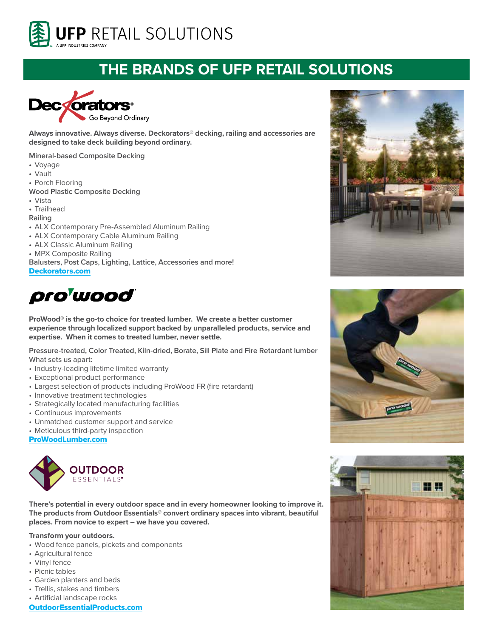

## **THE BRANDS OF UFP RETAIL SOLUTIONS**



**Always innovative. Always diverse. Deckorators® decking, railing and accessories are designed to take deck building beyond ordinary.**

**Mineral-based Composite Decking**

- **•** Voyage
- **•** Vault
- **•** Porch Flooring

**Wood Plastic Composite Decking**

**•** Vista

**•** Trailhead

**Railing**

- **•** ALX Contemporary Pre-Assembled Aluminum Railing
- **•** ALX Contemporary Cable Aluminum Railing
- **•** ALX Classic Aluminum Railing
- **•** MPX Composite Railing

**Balusters, Post Caps, Lighting, Lattice, Accessories and more!** Deckorators.com



**ProWood® is the go-to choice for treated lumber. We create a better customer experience through localized support backed by unparalleled products, service and expertise. When it comes to treated lumber, never settle.**

**Pressure-treated, Color Treated, Kiln-dried, Borate, Sill Plate and Fire Retardant lumber** What sets us apart:

- Industry-leading lifetime limited warranty
- Exceptional product performance
- Largest selection of products including ProWood FR (fire retardant)
- Innovative treatment technologies
- Strategically located manufacturing facilities
- Continuous improvements
- Unmatched customer support and service
- Meticulous third-party inspection

ProWoodLumber.com



**There's potential in every outdoor space and in every homeowner looking to improve it. The products from Outdoor Essentials® convert ordinary spaces into vibrant, beautiful places. From novice to expert – we have you covered.** 

## **Transform your outdoors.**

- Wood fence panels, pickets and components
- Agricultural fence
- Vinyl fence
- Picnic tables
- Garden planters and beds
- Trellis, stakes and timbers
- Artificial landscape rocks

OutdoorEssentialProducts.com